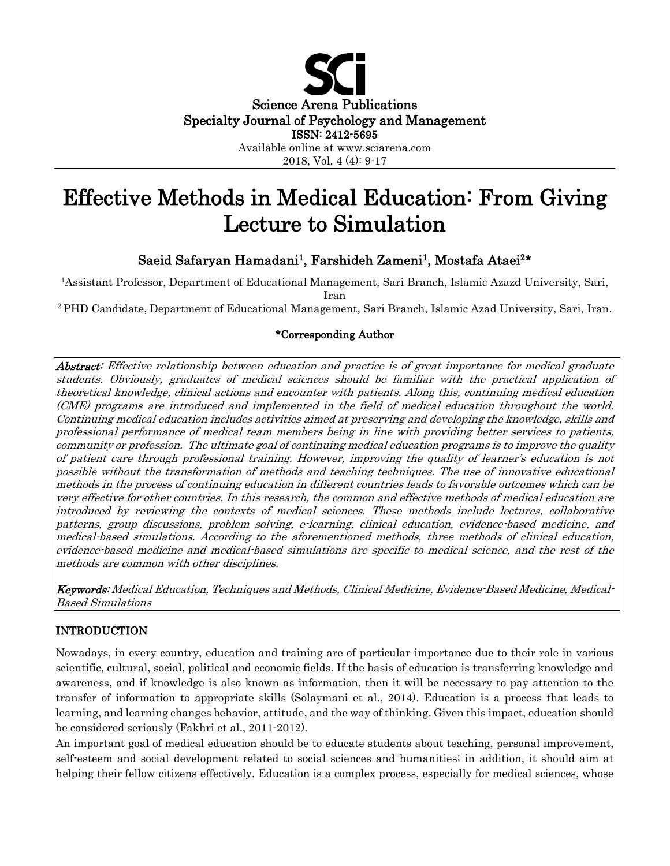

# Effective Methods in Medical Education: From Giving Lecture to Simulation

# Saeid Safaryan Hamadani<sup>1</sup>, Farshideh Zameni<sup>1</sup>, Mostafa Ataei<sup>2\*</sup>

1Assistant Professor, Department of Educational Management, Sari Branch, Islamic Azazd University, Sari, Iran

<sup>2</sup> PHD Candidate, Department of Educational Management, Sari Branch, Islamic Azad University, Sari, Iran.

# \*Corresponding Author

Abstract: Effective relationship between education and practice is of great importance for medical graduate students. Obviously, graduates of medical sciences should be familiar with the practical application of theoretical knowledge, clinical actions and encounter with patients. Along this, continuing medical education (CME) programs are introduced and implemented in the field of medical education throughout the world. Continuing medical education includes activities aimed at preserving and developing the knowledge, skills and professional performance of medical team members being in line with providing better services to patients, community or profession. The ultimate goal of continuing medical education programs is to improve the quality of patient care through professional training. However, improving the quality of learner's education is not possible without the transformation of methods and teaching techniques. The use of innovative educational methods in the process of continuing education in different countries leads to favorable outcomes which can be very effective for other countries. In this research, the common and effective methods of medical education are introduced by reviewing the contexts of medical sciences. These methods include lectures, collaborative patterns, group discussions, problem solving, e-learning, clinical education, evidence-based medicine, and medical-based simulations. According to the aforementioned methods, three methods of clinical education, evidence-based medicine and medical-based simulations are specific to medical science, and the rest of the methods are common with other disciplines.

Keywords: Medical Education, Techniques and Methods, Clinical Medicine, Evidence-Based Medicine, Medical-Based Simulations

# INTRODUCTION

Nowadays, in every country, education and training are of particular importance due to their role in various scientific, cultural, social, political and economic fields. If the basis of education is transferring knowledge and awareness, and if knowledge is also known as information, then it will be necessary to pay attention to the transfer of information to appropriate skills (Solaymani et al., 2014). Education is a process that leads to learning, and learning changes behavior, attitude, and the way of thinking. Given this impact, education should be considered seriously (Fakhri et al., 2011-2012).

An important goal of medical education should be to educate students about teaching, personal improvement, self-esteem and social development related to social sciences and humanities; in addition, it should aim at helping their fellow citizens effectively. Education is a complex process, especially for medical sciences, whose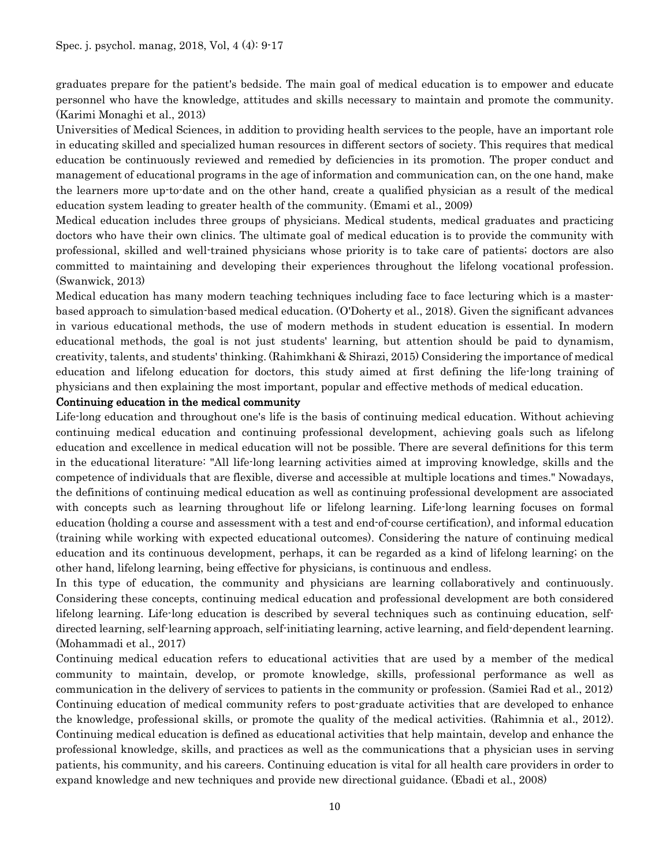graduates prepare for the patient's bedside. The main goal of medical education is to empower and educate personnel who have the knowledge, attitudes and skills necessary to maintain and promote the community. (Karimi Monaghi et al., 2013)

Universities of Medical Sciences, in addition to providing health services to the people, have an important role in educating skilled and specialized human resources in different sectors of society. This requires that medical education be continuously reviewed and remedied by deficiencies in its promotion. The proper conduct and management of educational programs in the age of information and communication can, on the one hand, make the learners more up-to-date and on the other hand, create a qualified physician as a result of the medical education system leading to greater health of the community. (Emami et al., 2009)

Medical education includes three groups of physicians. Medical students, medical graduates and practicing doctors who have their own clinics. The ultimate goal of medical education is to provide the community with professional, skilled and well-trained physicians whose priority is to take care of patients; doctors are also committed to maintaining and developing their experiences throughout the lifelong vocational profession. (Swanwick, 2013)

Medical education has many modern teaching techniques including face to face lecturing which is a masterbased approach to simulation-based medical education. (O'Doherty et al., 2018). Given the significant advances in various educational methods, the use of modern methods in student education is essential. In modern educational methods, the goal is not just students' learning, but attention should be paid to dynamism, creativity, talents, and students' thinking. (Rahimkhani & Shirazi, 2015) Considering the importance of medical education and lifelong education for doctors, this study aimed at first defining the life-long training of physicians and then explaining the most important, popular and effective methods of medical education.

# Continuing education in the medical community

Life-long education and throughout one's life is the basis of continuing medical education. Without achieving continuing medical education and continuing professional development, achieving goals such as lifelong education and excellence in medical education will not be possible. There are several definitions for this term in the educational literature: "All life-long learning activities aimed at improving knowledge, skills and the competence of individuals that are flexible, diverse and accessible at multiple locations and times." Nowadays, the definitions of continuing medical education as well as continuing professional development are associated with concepts such as learning throughout life or lifelong learning. Life-long learning focuses on formal education (holding a course and assessment with a test and end-of-course certification), and informal education (training while working with expected educational outcomes). Considering the nature of continuing medical education and its continuous development, perhaps, it can be regarded as a kind of lifelong learning; on the other hand, lifelong learning, being effective for physicians, is continuous and endless.

In this type of education, the community and physicians are learning collaboratively and continuously. Considering these concepts, continuing medical education and professional development are both considered lifelong learning. Life-long education is described by several techniques such as continuing education, selfdirected learning, self-learning approach, self-initiating learning, active learning, and field-dependent learning. (Mohammadi et al., 2017)

Continuing medical education refers to educational activities that are used by a member of the medical community to maintain, develop, or promote knowledge, skills, professional performance as well as communication in the delivery of services to patients in the community or profession. (Samiei Rad et al., 2012) Continuing education of medical community refers to post-graduate activities that are developed to enhance the knowledge, professional skills, or promote the quality of the medical activities. (Rahimnia et al., 2012). Continuing medical education is defined as educational activities that help maintain, develop and enhance the professional knowledge, skills, and practices as well as the communications that a physician uses in serving patients, his community, and his careers. Continuing education is vital for all health care providers in order to expand knowledge and new techniques and provide new directional guidance. (Ebadi et al., 2008)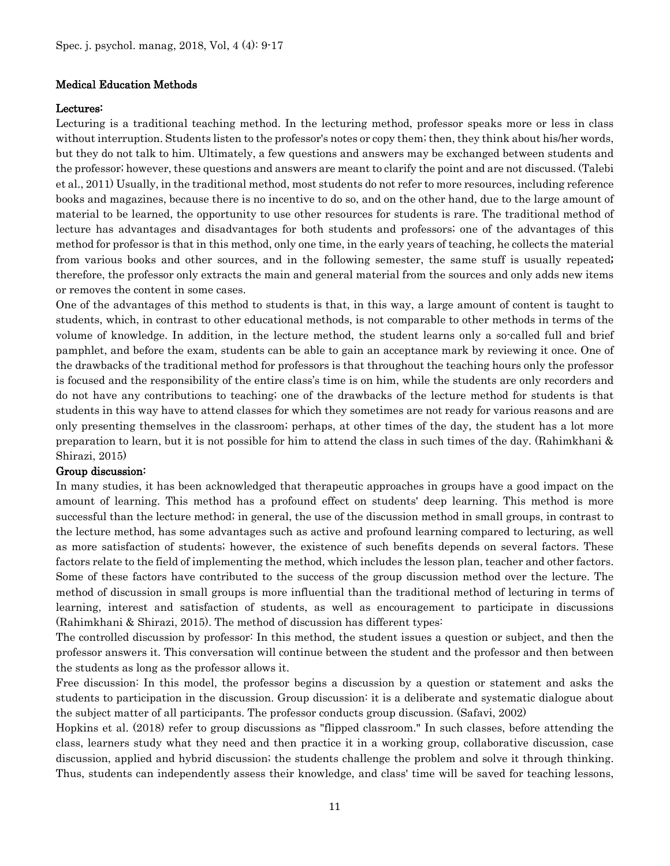### Medical Education Methods

# Lectures:

Lecturing is a traditional teaching method. In the lecturing method, professor speaks more or less in class without interruption. Students listen to the professor's notes or copy them; then, they think about his/her words, but they do not talk to him. Ultimately, a few questions and answers may be exchanged between students and the professor; however, these questions and answers are meant to clarify the point and are not discussed. (Talebi et al., 2011) Usually, in the traditional method, most students do not refer to more resources, including reference books and magazines, because there is no incentive to do so, and on the other hand, due to the large amount of material to be learned, the opportunity to use other resources for students is rare. The traditional method of lecture has advantages and disadvantages for both students and professors; one of the advantages of this method for professor is that in this method, only one time, in the early years of teaching, he collects the material from various books and other sources, and in the following semester, the same stuff is usually repeated; therefore, the professor only extracts the main and general material from the sources and only adds new items or removes the content in some cases.

One of the advantages of this method to students is that, in this way, a large amount of content is taught to students, which, in contrast to other educational methods, is not comparable to other methods in terms of the volume of knowledge. In addition, in the lecture method, the student learns only a so-called full and brief pamphlet, and before the exam, students can be able to gain an acceptance mark by reviewing it once. One of the drawbacks of the traditional method for professors is that throughout the teaching hours only the professor is focused and the responsibility of the entire class's time is on him, while the students are only recorders and do not have any contributions to teaching; one of the drawbacks of the lecture method for students is that students in this way have to attend classes for which they sometimes are not ready for various reasons and are only presenting themselves in the classroom; perhaps, at other times of the day, the student has a lot more preparation to learn, but it is not possible for him to attend the class in such times of the day. (Rahimkhani & Shirazi, 2015)

### Group discussion:

In many studies, it has been acknowledged that therapeutic approaches in groups have a good impact on the amount of learning. This method has a profound effect on students' deep learning. This method is more successful than the lecture method; in general, the use of the discussion method in small groups, in contrast to the lecture method, has some advantages such as active and profound learning compared to lecturing, as well as more satisfaction of students; however, the existence of such benefits depends on several factors. These factors relate to the field of implementing the method, which includes the lesson plan, teacher and other factors. Some of these factors have contributed to the success of the group discussion method over the lecture. The method of discussion in small groups is more influential than the traditional method of lecturing in terms of learning, interest and satisfaction of students, as well as encouragement to participate in discussions (Rahimkhani & Shirazi, 2015). The method of discussion has different types:

The controlled discussion by professor: In this method, the student issues a question or subject, and then the professor answers it. This conversation will continue between the student and the professor and then between the students as long as the professor allows it.

Free discussion: In this model, the professor begins a discussion by a question or statement and asks the students to participation in the discussion. Group discussion: it is a deliberate and systematic dialogue about the subject matter of all participants. The professor conducts group discussion. (Safavi, 2002)

Hopkins et al. (2018) refer to group discussions as "flipped classroom." In such classes, before attending the class, learners study what they need and then practice it in a working group, collaborative discussion, case discussion, applied and hybrid discussion; the students challenge the problem and solve it through thinking. Thus, students can independently assess their knowledge, and class' time will be saved for teaching lessons,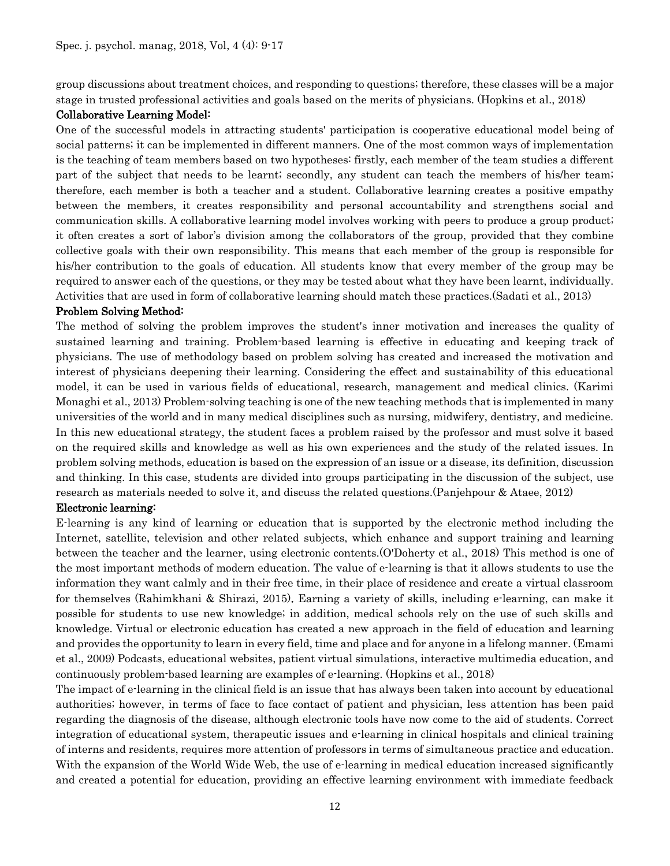group discussions about treatment choices, and responding to questions; therefore, these classes will be a major stage in trusted professional activities and goals based on the merits of physicians. (Hopkins et al., 2018)

# Collaborative Learning Model:

One of the successful models in attracting students' participation is cooperative educational model being of social patterns; it can be implemented in different manners. One of the most common ways of implementation is the teaching of team members based on two hypotheses: firstly, each member of the team studies a different part of the subject that needs to be learnt; secondly, any student can teach the members of his/her team; therefore, each member is both a teacher and a student. Collaborative learning creates a positive empathy between the members, it creates responsibility and personal accountability and strengthens social and communication skills. A collaborative learning model involves working with peers to produce a group product; it often creates a sort of labor's division among the collaborators of the group, provided that they combine collective goals with their own responsibility. This means that each member of the group is responsible for his/her contribution to the goals of education. All students know that every member of the group may be required to answer each of the questions, or they may be tested about what they have been learnt, individually. Activities that are used in form of collaborative learning should match these practices.(Sadati et al., 2013)

# Problem Solving Method:

The method of solving the problem improves the student's inner motivation and increases the quality of sustained learning and training. Problem-based learning is effective in educating and keeping track of physicians. The use of methodology based on problem solving has created and increased the motivation and interest of physicians deepening their learning. Considering the effect and sustainability of this educational model, it can be used in various fields of educational, research, management and medical clinics. (Karimi Monaghi et al., 2013) Problem-solving teaching is one of the new teaching methods that is implemented in many universities of the world and in many medical disciplines such as nursing, midwifery, dentistry, and medicine. In this new educational strategy, the student faces a problem raised by the professor and must solve it based on the required skills and knowledge as well as his own experiences and the study of the related issues. In problem solving methods, education is based on the expression of an issue or a disease, its definition, discussion and thinking. In this case, students are divided into groups participating in the discussion of the subject, use research as materials needed to solve it, and discuss the related questions.(Panjehpour & Ataee, 2012)

### Electronic learning:

E-learning is any kind of learning or education that is supported by the electronic method including the Internet, satellite, television and other related subjects, which enhance and support training and learning between the teacher and the learner, using electronic contents.(O'Doherty et al., 2018) This method is one of the most important methods of modern education. The value of e-learning is that it allows students to use the information they want calmly and in their free time, in their place of residence and create a virtual classroom for themselves (Rahimkhani & Shirazi, 2015). Earning a variety of skills, including e-learning, can make it possible for students to use new knowledge; in addition, medical schools rely on the use of such skills and knowledge. Virtual or electronic education has created a new approach in the field of education and learning and provides the opportunity to learn in every field, time and place and for anyone in a lifelong manner. (Emami et al., 2009) Podcasts, educational websites, patient virtual simulations, interactive multimedia education, and continuously problem-based learning are examples of e-learning. (Hopkins et al., 2018)

The impact of e-learning in the clinical field is an issue that has always been taken into account by educational authorities; however, in terms of face to face contact of patient and physician, less attention has been paid regarding the diagnosis of the disease, although electronic tools have now come to the aid of students. Correct integration of educational system, therapeutic issues and e-learning in clinical hospitals and clinical training of interns and residents, requires more attention of professors in terms of simultaneous practice and education. With the expansion of the World Wide Web, the use of e-learning in medical education increased significantly and created a potential for education, providing an effective learning environment with immediate feedback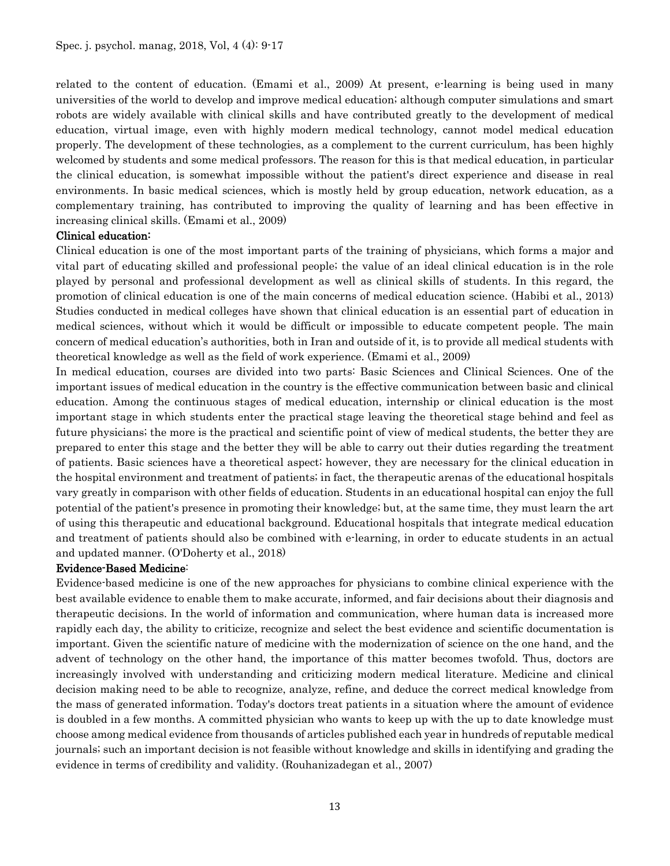related to the content of education. (Emami et al., 2009) At present, e-learning is being used in many universities of the world to develop and improve medical education; although computer simulations and smart robots are widely available with clinical skills and have contributed greatly to the development of medical education, virtual image, even with highly modern medical technology, cannot model medical education properly. The development of these technologies, as a complement to the current curriculum, has been highly welcomed by students and some medical professors. The reason for this is that medical education, in particular the clinical education, is somewhat impossible without the patient's direct experience and disease in real environments. In basic medical sciences, which is mostly held by group education, network education, as a complementary training, has contributed to improving the quality of learning and has been effective in increasing clinical skills. (Emami et al., 2009)

### Clinical education:

Clinical education is one of the most important parts of the training of physicians, which forms a major and vital part of educating skilled and professional people; the value of an ideal clinical education is in the role played by personal and professional development as well as clinical skills of students. In this regard, the promotion of clinical education is one of the main concerns of medical education science. (Habibi et al., 2013) Studies conducted in medical colleges have shown that clinical education is an essential part of education in medical sciences, without which it would be difficult or impossible to educate competent people. The main concern of medical education's authorities, both in Iran and outside of it, is to provide all medical students with theoretical knowledge as well as the field of work experience. (Emami et al., 2009)

In medical education, courses are divided into two parts: Basic Sciences and Clinical Sciences. One of the important issues of medical education in the country is the effective communication between basic and clinical education. Among the continuous stages of medical education, internship or clinical education is the most important stage in which students enter the practical stage leaving the theoretical stage behind and feel as future physicians; the more is the practical and scientific point of view of medical students, the better they are prepared to enter this stage and the better they will be able to carry out their duties regarding the treatment of patients. Basic sciences have a theoretical aspect; however, they are necessary for the clinical education in the hospital environment and treatment of patients; in fact, the therapeutic arenas of the educational hospitals vary greatly in comparison with other fields of education. Students in an educational hospital can enjoy the full potential of the patient's presence in promoting their knowledge; but, at the same time, they must learn the art of using this therapeutic and educational background. Educational hospitals that integrate medical education and treatment of patients should also be combined with e-learning, in order to educate students in an actual and updated manner. (O'Doherty et al., 2018)

### Evidence-Based Medicine:

Evidence-based medicine is one of the new approaches for physicians to combine clinical experience with the best available evidence to enable them to make accurate, informed, and fair decisions about their diagnosis and therapeutic decisions. In the world of information and communication, where human data is increased more rapidly each day, the ability to criticize, recognize and select the best evidence and scientific documentation is important. Given the scientific nature of medicine with the modernization of science on the one hand, and the advent of technology on the other hand, the importance of this matter becomes twofold. Thus, doctors are increasingly involved with understanding and criticizing modern medical literature. Medicine and clinical decision making need to be able to recognize, analyze, refine, and deduce the correct medical knowledge from the mass of generated information. Today's doctors treat patients in a situation where the amount of evidence is doubled in a few months. A committed physician who wants to keep up with the up to date knowledge must choose among medical evidence from thousands of articles published each year in hundreds of reputable medical journals; such an important decision is not feasible without knowledge and skills in identifying and grading the evidence in terms of credibility and validity. (Rouhanizadegan et al., 2007)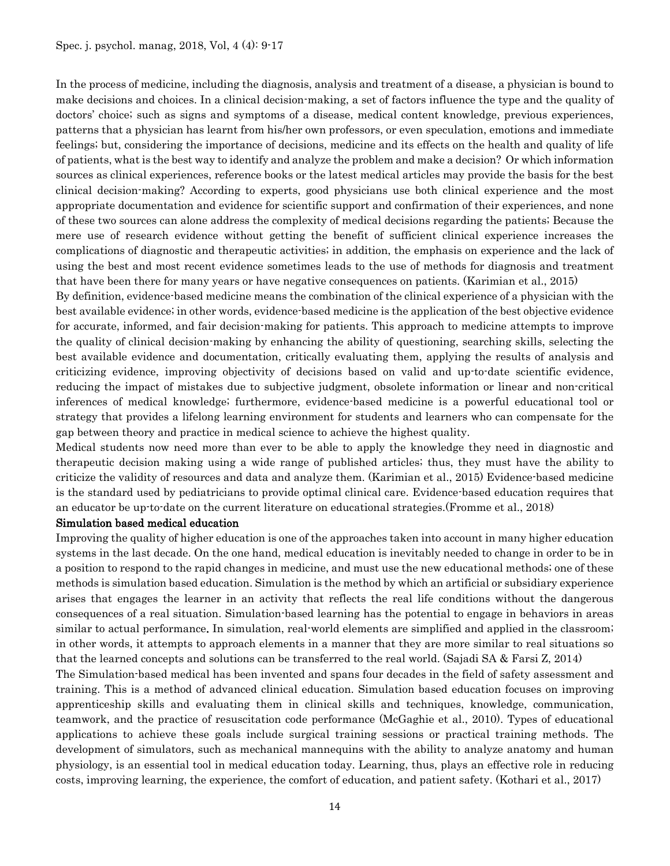In the process of medicine, including the diagnosis, analysis and treatment of a disease, a physician is bound to make decisions and choices. In a clinical decision-making, a set of factors influence the type and the quality of doctors' choice; such as signs and symptoms of a disease, medical content knowledge, previous experiences, patterns that a physician has learnt from his/her own professors, or even speculation, emotions and immediate feelings; but, considering the importance of decisions, medicine and its effects on the health and quality of life of patients, what is the best way to identify and analyze the problem and make a decision? Or which information sources as clinical experiences, reference books or the latest medical articles may provide the basis for the best clinical decision-making? According to experts, good physicians use both clinical experience and the most appropriate documentation and evidence for scientific support and confirmation of their experiences, and none of these two sources can alone address the complexity of medical decisions regarding the patients; Because the mere use of research evidence without getting the benefit of sufficient clinical experience increases the complications of diagnostic and therapeutic activities; in addition, the emphasis on experience and the lack of using the best and most recent evidence sometimes leads to the use of methods for diagnosis and treatment that have been there for many years or have negative consequences on patients. (Karimian et al., 2015)

By definition, evidence-based medicine means the combination of the clinical experience of a physician with the best available evidence; in other words, evidence-based medicine is the application of the best objective evidence for accurate, informed, and fair decision-making for patients. This approach to medicine attempts to improve the quality of clinical decision-making by enhancing the ability of questioning, searching skills, selecting the best available evidence and documentation, critically evaluating them, applying the results of analysis and criticizing evidence, improving objectivity of decisions based on valid and up-to-date scientific evidence, reducing the impact of mistakes due to subjective judgment, obsolete information or linear and non-critical inferences of medical knowledge; furthermore, evidence-based medicine is a powerful educational tool or strategy that provides a lifelong learning environment for students and learners who can compensate for the gap between theory and practice in medical science to achieve the highest quality.

Medical students now need more than ever to be able to apply the knowledge they need in diagnostic and therapeutic decision making using a wide range of published articles; thus, they must have the ability to criticize the validity of resources and data and analyze them. (Karimian et al., 2015) Evidence-based medicine is the standard used by pediatricians to provide optimal clinical care. Evidence-based education requires that an educator be up-to-date on the current literature on educational strategies.(Fromme et al., 2018)

#### Simulation based medical education

Improving the quality of higher education is one of the approaches taken into account in many higher education systems in the last decade. On the one hand, medical education is inevitably needed to change in order to be in a position to respond to the rapid changes in medicine, and must use the new educational methods; one of these methods is simulation based education. Simulation is the method by which an artificial or subsidiary experience arises that engages the learner in an activity that reflects the real life conditions without the dangerous consequences of a real situation. Simulation-based learning has the potential to engage in behaviors in areas similar to actual performance. In simulation, real-world elements are simplified and applied in the classroom; in other words, it attempts to approach elements in a manner that they are more similar to real situations so that the learned concepts and solutions can be transferred to the real world. (Sajadi SA & Farsi Z, 2014) The Simulation-based medical has been invented and spans four decades in the field of safety assessment and training. This is a method of advanced clinical education. Simulation based education focuses on improving apprenticeship skills and evaluating them in clinical skills and techniques, knowledge, communication, teamwork, and the practice of resuscitation code performance (McGaghie et al., 2010). Types of educational applications to achieve these goals include surgical training sessions or practical training methods. The development of simulators, such as mechanical mannequins with the ability to analyze anatomy and human physiology, is an essential tool in medical education today. Learning, thus, plays an effective role in reducing costs, improving learning, the experience, the comfort of education, and patient safety. (Kothari et al., 2017)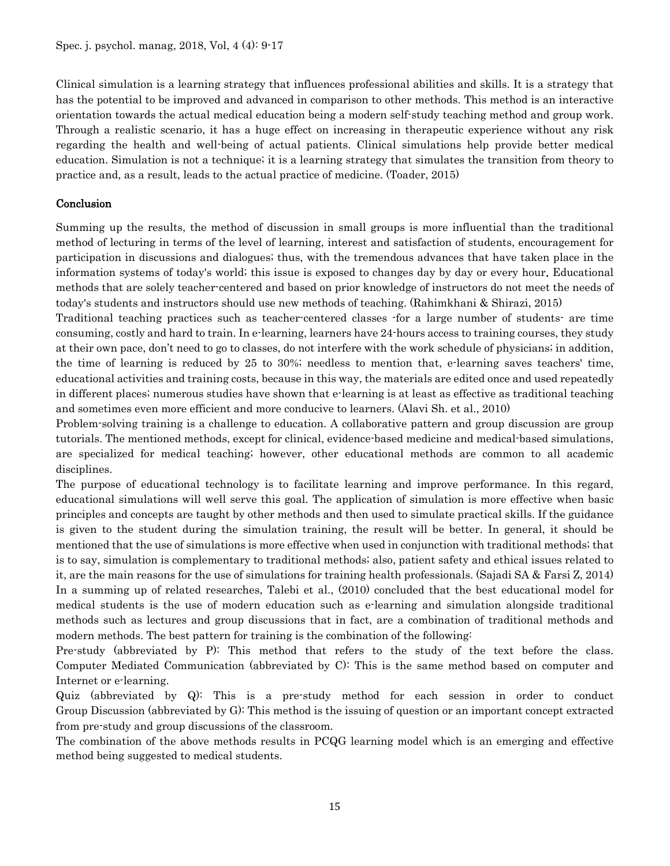Clinical simulation is a learning strategy that influences professional abilities and skills. It is a strategy that has the potential to be improved and advanced in comparison to other methods. This method is an interactive orientation towards the actual medical education being a modern self-study teaching method and group work. Through a realistic scenario, it has a huge effect on increasing in therapeutic experience without any risk regarding the health and well-being of actual patients. Clinical simulations help provide better medical education. Simulation is not a technique; it is a learning strategy that simulates the transition from theory to practice and, as a result, leads to the actual practice of medicine. (Toader, 2015)

# Conclusion

Summing up the results, the method of discussion in small groups is more influential than the traditional method of lecturing in terms of the level of learning, interest and satisfaction of students, encouragement for participation in discussions and dialogues; thus, with the tremendous advances that have taken place in the information systems of today's world; this issue is exposed to changes day by day or every hour. Educational methods that are solely teacher-centered and based on prior knowledge of instructors do not meet the needs of today's students and instructors should use new methods of teaching. (Rahimkhani & Shirazi, 2015)

Traditional teaching practices such as teacher-centered classes -for a large number of students- are time consuming, costly and hard to train. In e-learning, learners have 24-hours access to training courses, they study at their own pace, don't need to go to classes, do not interfere with the work schedule of physicians; in addition, the time of learning is reduced by 25 to 30%; needless to mention that, e-learning saves teachers' time, educational activities and training costs, because in this way, the materials are edited once and used repeatedly in different places; numerous studies have shown that e-learning is at least as effective as traditional teaching and sometimes even more efficient and more conducive to learners. (Alavi Sh. et al., 2010)

Problem-solving training is a challenge to education. A collaborative pattern and group discussion are group tutorials. The mentioned methods, except for clinical, evidence-based medicine and medical-based simulations, are specialized for medical teaching; however, other educational methods are common to all academic disciplines.

The purpose of educational technology is to facilitate learning and improve performance. In this regard, educational simulations will well serve this goal. The application of simulation is more effective when basic principles and concepts are taught by other methods and then used to simulate practical skills. If the guidance is given to the student during the simulation training, the result will be better. In general, it should be mentioned that the use of simulations is more effective when used in conjunction with traditional methods; that is to say, simulation is complementary to traditional methods; also, patient safety and ethical issues related to it, are the main reasons for the use of simulations for training health professionals. (Sajadi SA & Farsi Z, 2014) In a summing up of related researches, Talebi et al., (2010) concluded that the best educational model for medical students is the use of modern education such as e-learning and simulation alongside traditional methods such as lectures and group discussions that in fact, are a combination of traditional methods and modern methods. The best pattern for training is the combination of the following:

Pre-study (abbreviated by P): This method that refers to the study of the text before the class. Computer Mediated Communication (abbreviated by C): This is the same method based on computer and Internet or e-learning.

Quiz (abbreviated by Q): This is a pre-study method for each session in order to conduct Group Discussion (abbreviated by G): This method is the issuing of question or an important concept extracted from pre-study and group discussions of the classroom.

The combination of the above methods results in PCQG learning model which is an emerging and effective method being suggested to medical students.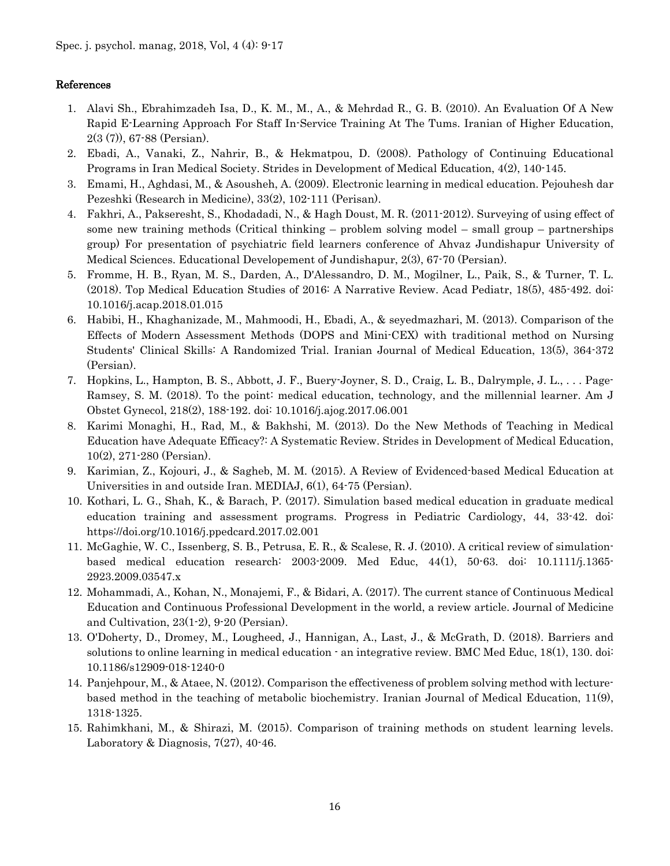# References

- 1. Alavi Sh., Ebrahimzadeh Isa, D., K. M., M., A., & Mehrdad R., G. B. (2010). An Evaluation Of A New Rapid E-Learning Approach For Staff In-Service Training At The Tums. Iranian of Higher Education, 2(3 (7)), 67-88 (Persian).
- 2. Ebadi, A., Vanaki, Z., Nahrir, B., & Hekmatpou, D. (2008). Pathology of Continuing Educational Programs in Iran Medical Society. Strides in Development of Medical Education, 4(2), 140-145.
- 3. Emami, H., Aghdasi, M., & Asousheh, A. (2009). Electronic learning in medical education. Pejouhesh dar Pezeshki (Research in Medicine), 33(2), 102-111 (Perisan).
- 4. Fakhri, A., Pakseresht, S., Khodadadi, N., & Hagh Doust, M. R. (2011-2012). Surveying of using effect of some new training methods (Critical thinking – problem solving model – small group – partnerships group) For presentation of psychiatric field learners conference of Ahvaz Jundishapur University of Medical Sciences. Educational Developement of Jundishapur, 2(3), 67-70 (Persian).
- 5. Fromme, H. B., Ryan, M. S., Darden, A., D'Alessandro, D. M., Mogilner, L., Paik, S., & Turner, T. L. (2018). Top Medical Education Studies of 2016: A Narrative Review. Acad Pediatr, 18(5), 485-492. doi: 10.1016/j.acap.2018.01.015
- 6. Habibi, H., Khaghanizade, M., Mahmoodi, H., Ebadi, A., & seyedmazhari, M. (2013). Comparison of the Effects of Modern Assessment Methods (DOPS and Mini-CEX) with traditional method on Nursing Students' Clinical Skills: A Randomized Trial. Iranian Journal of Medical Education, 13(5), 364-372 (Persian).
- 7. Hopkins, L., Hampton, B. S., Abbott, J. F., Buery-Joyner, S. D., Craig, L. B., Dalrymple, J. L., . . . Page-Ramsey, S. M. (2018). To the point: medical education, technology, and the millennial learner. Am J Obstet Gynecol, 218(2), 188-192. doi: 10.1016/j.ajog.2017.06.001
- 8. Karimi Monaghi, H., Rad, M., & Bakhshi, M. (2013). Do the New Methods of Teaching in Medical Education have Adequate Efficacy?: A Systematic Review. Strides in Development of Medical Education, 10(2), 271-280 (Persian).
- 9. Karimian, Z., Kojouri, J., & Sagheb, M. M. (2015). A Review of Evidenced-based Medical Education at Universities in and outside Iran. MEDIAJ, 6(1), 64-75 (Persian).
- 10. Kothari, L. G., Shah, K., & Barach, P. (2017). Simulation based medical education in graduate medical education training and assessment programs. Progress in Pediatric Cardiology, 44, 33-42. doi: https://doi.org/10.1016/j.ppedcard.2017.02.001
- 11. McGaghie, W. C., Issenberg, S. B., Petrusa, E. R., & Scalese, R. J. (2010). A critical review of simulationbased medical education research: 2003-2009. Med Educ, 44(1), 50-63. doi: 10.1111/j.1365- 2923.2009.03547.x
- 12. Mohammadi, A., Kohan, N., Monajemi, F., & Bidari, A. (2017). The current stance of Continuous Medical Education and Continuous Professional Development in the world, a review article. Journal of Medicine and Cultivation, 23(1-2), 9-20 (Persian).
- 13. O'Doherty, D., Dromey, M., Lougheed, J., Hannigan, A., Last, J., & McGrath, D. (2018). Barriers and solutions to online learning in medical education - an integrative review. BMC Med Educ, 18(1), 130. doi: 10.1186/s12909-018-1240-0
- 14. Panjehpour, M., & Ataee, N. (2012). Comparison the effectiveness of problem solving method with lecturebased method in the teaching of metabolic biochemistry. Iranian Journal of Medical Education, 11(9), 1318-1325.
- 15. Rahimkhani, M., & Shirazi, M. (2015). Comparison of training methods on student learning levels. Laboratory & Diagnosis,  $7(27)$ ,  $40-46$ .